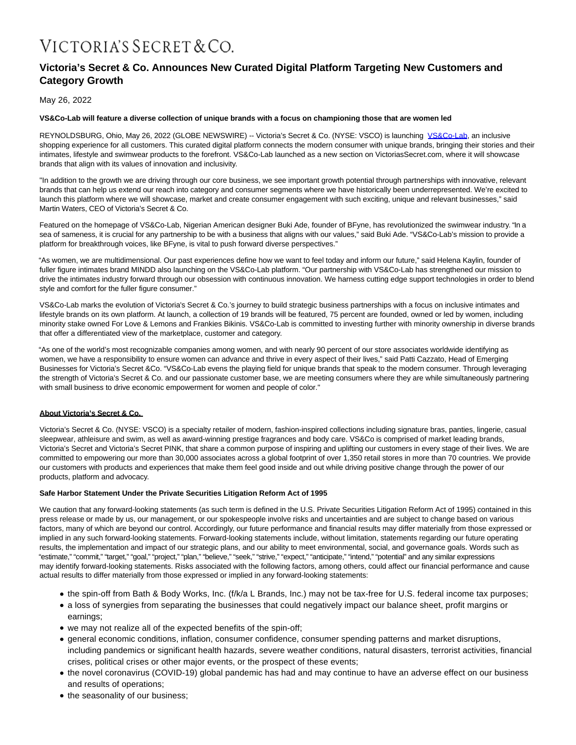# VICTORIA'S SECRET & CO.

## **Victoria's Secret & Co. Announces New Curated Digital Platform Targeting New Customers and Category Growth**

May 26, 2022

#### **VS&Co-Lab will feature a diverse collection of unique brands with a focus on championing those that are women led**

REYNOLDSBURG, Ohio, May 26, 2022 (GLOBE NEWSWIRE) -- Victoria's Secret & Co. (NYSE: VSCO) is launching [VS&Co-Lab,](https://www.globenewswire.com/Tracker?data=8LXqB5iDY6vhF2fryhz84QsmYFQ3Y4NZDktB0RSN9gJBy9NFxgrZ-_tnkElo00JyyBOU1JakgOkiCnZ_O5jOLxUlLdEa8PJbCwm7hyFP0vw=) an inclusive shopping experience for all customers. This curated digital platform connects the modern consumer with unique brands, bringing their stories and their intimates, lifestyle and swimwear products to the forefront. VS&Co-Lab launched as a new section on VictoriasSecret.com, where it will showcase brands that align with its values of innovation and inclusivity.

"In addition to the growth we are driving through our core business, we see important growth potential through partnerships with innovative, relevant brands that can help us extend our reach into category and consumer segments where we have historically been underrepresented. We're excited to launch this platform where we will showcase, market and create consumer engagement with such exciting, unique and relevant businesses," said Martin Waters, CEO of Victoria's Secret & Co.

Featured on the homepage of VS&Co-Lab, Nigerian American designer Buki Ade, founder of BFyne, has revolutionized the swimwear industry. "In a sea of sameness, it is crucial for any partnership to be with a business that aligns with our values," said Buki Ade. "VS&Co-Lab's mission to provide a platform for breakthrough voices, like BFyne, is vital to push forward diverse perspectives."

"As women, we are multidimensional. Our past experiences define how we want to feel today and inform our future," said Helena Kaylin, founder of fuller figure intimates brand MINDD also launching on the VS&Co-Lab platform. "Our partnership with VS&Co-Lab has strengthened our mission to drive the intimates industry forward through our obsession with continuous innovation. We harness cutting edge support technologies in order to blend style and comfort for the fuller figure consumer."

VS&Co-Lab marks the evolution of Victoria's Secret & Co.'s journey to build strategic business partnerships with a focus on inclusive intimates and lifestyle brands on its own platform. At launch, a collection of 19 brands will be featured, 75 percent are founded, owned or led by women, including minority stake owned For Love & Lemons and Frankies Bikinis. VS&Co-Lab is committed to investing further with minority ownership in diverse brands that offer a differentiated view of the marketplace, customer and category.

"As one of the world's most recognizable companies among women, and with nearly 90 percent of our store associates worldwide identifying as women, we have a responsibility to ensure women can advance and thrive in every aspect of their lives," said Patti Cazzato, Head of Emerging Businesses for Victoria's Secret &Co. "VS&Co-Lab evens the playing field for unique brands that speak to the modern consumer. Through leveraging the strength of Victoria's Secret & Co. and our passionate customer base, we are meeting consumers where they are while simultaneously partnering with small business to drive economic empowerment for women and people of color."

### **About Victoria's Secret & Co.**

Victoria's Secret & Co. (NYSE: VSCO) is a specialty retailer of modern, fashion-inspired collections including signature bras, panties, lingerie, casual sleepwear, athleisure and swim, as well as award-winning prestige fragrances and body care. VS&Co is comprised of market leading brands, Victoria's Secret and Victoria's Secret PINK, that share a common purpose of inspiring and uplifting our customers in every stage of their lives. We are committed to empowering our more than 30,000 associates across a global footprint of over 1,350 retail stores in more than 70 countries. We provide our customers with products and experiences that make them feel good inside and out while driving positive change through the power of our products, platform and advocacy.

#### **Safe Harbor Statement Under the Private Securities Litigation Reform Act of 1995**

We caution that any forward-looking statements (as such term is defined in the U.S. Private Securities Litigation Reform Act of 1995) contained in this press release or made by us, our management, or our spokespeople involve risks and uncertainties and are subject to change based on various factors, many of which are beyond our control. Accordingly, our future performance and financial results may differ materially from those expressed or implied in any such forward-looking statements. Forward-looking statements include, without limitation, statements regarding our future operating results, the implementation and impact of our strategic plans, and our ability to meet environmental, social, and governance goals. Words such as "estimate," "commit," "target," "goal," "project," "plan," "believe," "seek," "strive," "expect," "anticipate," "intend," "potential" and any similar expressions may identify forward-looking statements. Risks associated with the following factors, among others, could affect our financial performance and cause actual results to differ materially from those expressed or implied in any forward-looking statements:

- the spin-off from Bath & Body Works, Inc. (f/k/a L Brands, Inc.) may not be tax-free for U.S. federal income tax purposes;
- a loss of synergies from separating the businesses that could negatively impact our balance sheet, profit margins or earnings;
- we may not realize all of the expected benefits of the spin-off;
- general economic conditions, inflation, consumer confidence, consumer spending patterns and market disruptions, including pandemics or significant health hazards, severe weather conditions, natural disasters, terrorist activities, financial crises, political crises or other major events, or the prospect of these events;
- the novel coronavirus (COVID-19) global pandemic has had and may continue to have an adverse effect on our business and results of operations;
- the seasonality of our business: